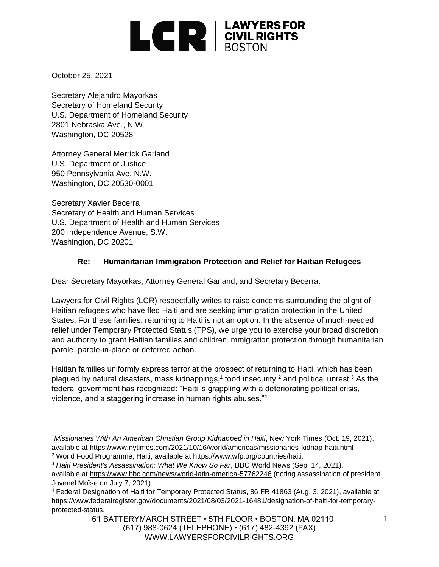

October 25, 2021

Secretary Alejandro Mayorkas Secretary of Homeland Security U.S. Department of Homeland Security 2801 Nebraska Ave., N.W. Washington, DC 20528

Attorney General Merrick Garland U.S. Department of Justice 950 Pennsylvania Ave, N.W. Washington, DC 20530-0001

Secretary Xavier Becerra Secretary of Health and Human Services U.S. Department of Health and Human Services 200 Independence Avenue, S.W. Washington, DC 20201

## **Re: Humanitarian Immigration Protection and Relief for Haitian Refugees**

Dear Secretary Mayorkas, Attorney General Garland, and Secretary Becerra:

Lawyers for Civil Rights (LCR) respectfully writes to raise concerns surrounding the plight of Haitian refugees who have fled Haiti and are seeking immigration protection in the United States. For these families, returning to Haiti is not an option. In the absence of much-needed relief under Temporary Protected Status (TPS), we urge you to exercise your broad discretion and authority to grant Haitian families and children immigration protection through humanitarian parole, parole-in-place or deferred action.

Haitian families uniformly express terror at the prospect of returning to Haiti, which has been plagued by natural disasters, mass kidnappings,<sup>1</sup> food insecurity,<sup>2</sup> and political unrest.<sup>3</sup> As the federal government has recognized: "Haiti is grappling with a deteriorating political crisis, violence, and a staggering increase in human rights abuses."<sup>4</sup>

<sup>1</sup>*Missionaries With An American Christian Group Kidnapped in Haiti*, New York Times (Oct. 19, 2021), available at https://www.nytimes.com/2021/10/16/world/americas/missionaries-kidnap-haiti.html

<sup>2</sup> World Food Programme, Haiti, available at [https://www.wfp.org/countries/haiti.](https://www.wfp.org/countries/haiti)

<sup>3</sup> *Haiti President's Assassination: What We Know So Far*, BBC World News (Sep. 14, 2021), available at<https://www.bbc.com/news/world-latin-america-57762246> (noting assassination of president Jovenel Moïse on July 7, 2021).

<sup>4</sup> Federal Designation of Haiti for Temporary Protected Status, 86 FR 41863 (Aug. 3, 2021), available at https://www.federalregister.gov/documents/2021/08/03/2021-16481/designation-of-haiti-for-temporaryprotected-status.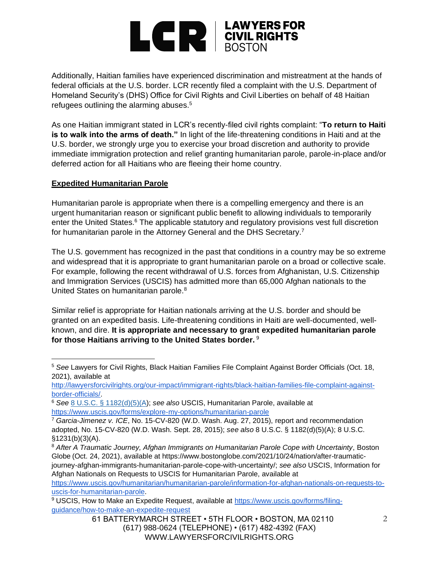# **EXPERIMENTS** EQUIPMENTS

Additionally, Haitian families have experienced discrimination and mistreatment at the hands of federal officials at the U.S. border. LCR recently filed a complaint with the U.S. Department of Homeland Security's (DHS) Office for Civil Rights and Civil Liberties on behalf of 48 Haitian refugees outlining the alarming abuses.<sup>5</sup>

As one Haitian immigrant stated in LCR's recently-filed civil rights complaint: "**To return to Haiti is to walk into the arms of death."** In light of the life-threatening conditions in Haiti and at the U.S. border, we strongly urge you to exercise your broad discretion and authority to provide immediate immigration protection and relief granting humanitarian parole, parole-in-place and/or deferred action for all Haitians who are fleeing their home country.

### **Expedited Humanitarian Parole**

Humanitarian parole is appropriate when there is a compelling emergency and there is an urgent humanitarian reason or significant public benefit to allowing individuals to temporarily enter the United States.<sup>6</sup> The applicable statutory and regulatory provisions vest full discretion for humanitarian parole in the Attorney General and the DHS Secretary.<sup>7</sup>

The U.S. government has recognized in the past that conditions in a country may be so extreme and widespread that it is appropriate to grant humanitarian parole on a broad or collective scale. For example, following the recent withdrawal of U.S. forces from Afghanistan, U.S. Citizenship and Immigration Services (USCIS) has admitted more than 65,000 Afghan nationals to the United States on humanitarian parole.<sup>8</sup>

Similar relief is appropriate for Haitian nationals arriving at the U.S. border and should be granted on an expedited basis. Life-threatening conditions in Haiti are well-documented, wellknown, and dire. **It is appropriate and necessary to grant expedited humanitarian parole for those Haitians arriving to the United States border.** <sup>9</sup>

<sup>5</sup> *See* Lawyers for Civil Rights, Black Haitian Families File Complaint Against Border Officials (Oct. 18, 2021), available at

[http://lawyersforcivilrights.org/our-impact/immigrant-rights/black-haitian-families-file-complaint-against](http://lawyersforcivilrights.org/our-impact/immigrant-rights/black-haitian-families-file-complaint-against-border-officials/)[border-officials/.](http://lawyersforcivilrights.org/our-impact/immigrant-rights/black-haitian-families-file-complaint-against-border-officials/)

<sup>6</sup> *See* [8 U.S.C. § 1182\(d\)\(5\)\(A\)](https://1.next.westlaw.com/Link/Document/FullText?findType=L&pubNum=1000546&cite=8USCAS1182&originatingDoc=Ie0f951c3672311e5b4bafa136b480ad2&refType=RB&originationContext=document&transitionType=DocumentItem&ppcid=ed26428c336e40cdae89390711bd310c&contextData=(sc.Search)#co_pp_ddda00006a1c0); *see also* USCIS, Humanitarian Parole, available at <https://www.uscis.gov/forms/explore-my-options/humanitarian-parole>

<sup>7</sup> *Garcia-Jimenez v. ICE*, No. 15-CV-820 (W.D. Wash. Aug. 27, 2015), report and recommendation adopted, No. 15-CV-820 (W.D. Wash. Sept. 28, 2015); *see also* 8 U.S.C. § 1182(d)(5)(A); 8 U.S.C. §1231(b)(3)(A).

<sup>8</sup> *After A Traumatic Journey, Afghan Immigrants on Humanitarian Parole Cope with Uncertainty*, Boston Globe (Oct. 24, 2021), available at https://www.bostonglobe.com/2021/10/24/nation/after-traumaticjourney-afghan-immigrants-humanitarian-parole-cope-with-uncertainty/; *see also* USCIS, Information for Afghan Nationals on Requests to USCIS for Humanitarian Parole, available at

[https://www.uscis.gov/humanitarian/humanitarian-parole/information-for-afghan-nationals-on-requests-to](https://www.uscis.gov/humanitarian/humanitarian-parole/information-for-afghan-nationals-on-requests-to-uscis-for-humanitarian-parole)[uscis-for-humanitarian-parole.](https://www.uscis.gov/humanitarian/humanitarian-parole/information-for-afghan-nationals-on-requests-to-uscis-for-humanitarian-parole)

<sup>&</sup>lt;sup>9</sup> USCIS, How to Make an Expedite Request, available at [https://www.uscis.gov/forms/filing](https://www.uscis.gov/forms/filing-guidance/how-to-make-an-expedite-request)[guidance/how-to-make-an-expedite-request](https://www.uscis.gov/forms/filing-guidance/how-to-make-an-expedite-request)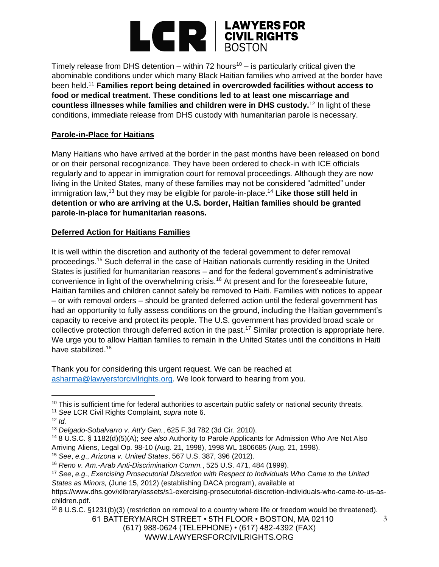

Timely release from DHS detention – within 72 hours<sup>10</sup> – is particularly critical given the abominable conditions under which many Black Haitian families who arrived at the border have been held.<sup>11</sup> **Families report being detained in overcrowded facilities without access to food or medical treatment. These conditions led to at least one miscarriage and countless illnesses while families and children were in DHS custody.**<sup>12</sup> In light of these conditions, immediate release from DHS custody with humanitarian parole is necessary.

### **Parole-in-Place for Haitians**

Many Haitians who have arrived at the border in the past months have been released on bond or on their personal recognizance. They have been ordered to check-in with ICE officials regularly and to appear in immigration court for removal proceedings. Although they are now living in the United States, many of these families may not be considered "admitted" under immigration law,<sup>13</sup> but they may be eligible for parole-in-place.<sup>14</sup> Like those still held in **detention or who are arriving at the U.S. border, Haitian families should be granted parole-in-place for humanitarian reasons.**

### **Deferred Action for Haitians Families**

It is well within the discretion and authority of the federal government to defer removal proceedings.<sup>15</sup> Such deferral in the case of Haitian nationals currently residing in the United States is justified for humanitarian reasons – and for the federal government's administrative convenience in light of the overwhelming crisis.<sup>16</sup> At present and for the foreseeable future, Haitian families and children cannot safely be removed to Haiti. Families with notices to appear – or with removal orders – should be granted deferred action until the federal government has had an opportunity to fully assess conditions on the ground, including the Haitian government's capacity to receive and protect its people. The U.S. government has provided broad scale or collective protection through deferred action in the past.<sup>17</sup> Similar protection is appropriate here. We urge you to allow Haitian families to remain in the United States until the conditions in Haiti have stabilized.<sup>18</sup>

Thank you for considering this urgent request. We can be reached at [asharma@lawyersforcivilrights.org.](mailto:asharma@lawyersforcivilrights.org) We look forward to hearing from you.

<sup>14</sup> 8 U.S.C. § 1182(d)(5)(A); *see also* Authority to Parole Applicants for Admission Who Are Not Also Arriving Aliens, Legal Op. 98-10 (Aug. 21, 1998), 1998 WL 1806685 (Aug. 21, 1998).

<sup>15</sup> *See*, *e.g*., *Arizona v. United States*, 567 U.S. 387, 396 (2012).

<sup>18</sup> 8 U.S.C. §1231(b)(3) (restriction on removal to a country where life or freedom would be threatened).

61 BATTERYMARCH STREET • 5TH FLOOR • BOSTON, MA 02110 (617) 988-0624 (TELEPHONE) • (617) 482-4392 (FAX) WWW.LAWYERSFORCIVILRIGHTS.ORG

<sup>&</sup>lt;sup>10</sup> This is sufficient time for federal authorities to ascertain public safety or national security threats.

<sup>11</sup> *See* LCR Civil Rights Complaint, *supra* note 6.

 $12$  *Id.* 

<sup>13</sup> *Delgado-Sobalvarro v. Att'y Gen.*, 625 F.3d 782 (3d Cir. 2010).

<sup>16</sup> *Reno v. Am.-Arab Anti-Discrimination Comm.*, 525 U.S. 471, 484 (1999).

<sup>17</sup> *See*, *e.g*., *Exercising Prosecutorial Discretion with Respect to Individuals Who Came to the United* 

*States as Minors,* (June 15, 2012) (establishing DACA program), available at

https://www.dhs.gov/xlibrary/assets/s1-exercising-prosecutorial-discretion-individuals-who-came-to-us-aschildren.pdf.